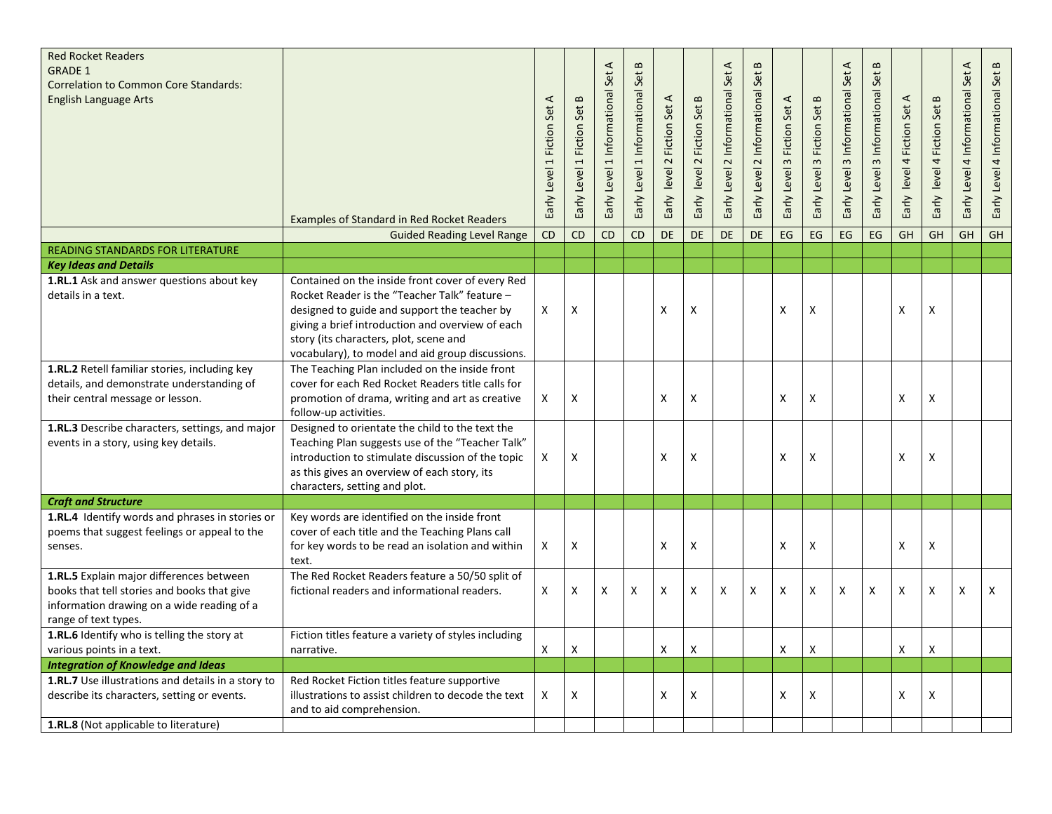| <b>Red Rocket Readers</b><br><b>GRADE 1</b><br><b>Correlation to Common Core Standards:</b><br><b>English Language Arts</b>                                   |                                                                                                                                                                                                                                                                                                     | ⋖<br>Early Level 1 Fiction Set | Early Level 1 Fiction Set B | $\prec$<br>Early Level 1 Informational Set | $\bf{m}$<br>Early Level 1 Informational Set | Early level 2 Fiction Set A | level 2 Fiction Set B<br>Early | $\prec$<br>Early Level 2 Informational Set | $\mathbf{m}$<br>Early Level 2 Informational Set | Early Level 3 Fiction Set A | Early Level 3 Fiction Set B | Early Level 3 Informational Set A | $\bf{m}$<br>Early Level 3 Informational Set | Early level 4 Fiction Set A | $\mathbf{m}$<br>level 4 Fiction Set<br>Early | $\prec$<br>Early Level 4 Informational Set | Early Level 4 Informational Set B |
|---------------------------------------------------------------------------------------------------------------------------------------------------------------|-----------------------------------------------------------------------------------------------------------------------------------------------------------------------------------------------------------------------------------------------------------------------------------------------------|--------------------------------|-----------------------------|--------------------------------------------|---------------------------------------------|-----------------------------|--------------------------------|--------------------------------------------|-------------------------------------------------|-----------------------------|-----------------------------|-----------------------------------|---------------------------------------------|-----------------------------|----------------------------------------------|--------------------------------------------|-----------------------------------|
|                                                                                                                                                               | <b>Examples of Standard in Red Rocket Readers</b>                                                                                                                                                                                                                                                   |                                |                             |                                            |                                             |                             |                                |                                            |                                                 |                             |                             |                                   |                                             |                             |                                              |                                            |                                   |
|                                                                                                                                                               | <b>Guided Reading Level Range</b>                                                                                                                                                                                                                                                                   | CD                             | <b>CD</b>                   | <b>CD</b>                                  | <b>CD</b>                                   | <b>DE</b>                   | <b>DE</b>                      | <b>DE</b>                                  | <b>DE</b>                                       | EG                          | EG                          | <b>EG</b>                         | <b>EG</b>                                   | GH                          | $\overline{GH}$                              | <b>GH</b>                                  | GH                                |
| <b>READING STANDARDS FOR LITERATURE</b>                                                                                                                       |                                                                                                                                                                                                                                                                                                     |                                |                             |                                            |                                             |                             |                                |                                            |                                                 |                             |                             |                                   |                                             |                             |                                              |                                            |                                   |
| <b>Key Ideas and Details</b><br>1.RL.1 Ask and answer questions about key<br>details in a text.                                                               | Contained on the inside front cover of every Red<br>Rocket Reader is the "Teacher Talk" feature -<br>designed to guide and support the teacher by<br>giving a brief introduction and overview of each<br>story (its characters, plot, scene and<br>vocabulary), to model and aid group discussions. | X                              | $\boldsymbol{\mathsf{x}}$   |                                            |                                             | X                           | X                              |                                            |                                                 | X                           | $\boldsymbol{\mathsf{X}}$   |                                   |                                             | X                           | X                                            |                                            |                                   |
| 1.RL.2 Retell familiar stories, including key<br>details, and demonstrate understanding of<br>their central message or lesson.                                | The Teaching Plan included on the inside front<br>cover for each Red Rocket Readers title calls for<br>promotion of drama, writing and art as creative<br>follow-up activities.                                                                                                                     | Χ                              | Χ                           |                                            |                                             | Χ                           | $\pmb{\mathsf{X}}$             |                                            |                                                 | X                           | X                           |                                   |                                             | $\pmb{\mathsf{X}}$          | X                                            |                                            |                                   |
| 1.RL.3 Describe characters, settings, and major<br>events in a story, using key details.                                                                      | Designed to orientate the child to the text the<br>Teaching Plan suggests use of the "Teacher Talk"<br>introduction to stimulate discussion of the topic<br>as this gives an overview of each story, its<br>characters, setting and plot.                                                           | Χ                              | X                           |                                            |                                             | X                           | X                              |                                            |                                                 | Χ                           | X                           |                                   |                                             | X                           | X                                            |                                            |                                   |
| <b>Craft and Structure</b>                                                                                                                                    |                                                                                                                                                                                                                                                                                                     |                                |                             |                                            |                                             |                             |                                |                                            |                                                 |                             |                             |                                   |                                             |                             |                                              |                                            |                                   |
| 1.RL.4 Identify words and phrases in stories or<br>poems that suggest feelings or appeal to the<br>senses.                                                    | Key words are identified on the inside front<br>cover of each title and the Teaching Plans call<br>for key words to be read an isolation and within<br>text.                                                                                                                                        | X                              | X                           |                                            |                                             | X                           | X                              |                                            |                                                 | X                           | X                           |                                   |                                             | X                           | X                                            |                                            |                                   |
| 1.RL.5 Explain major differences between<br>books that tell stories and books that give<br>information drawing on a wide reading of a<br>range of text types. | The Red Rocket Readers feature a 50/50 split of<br>fictional readers and informational readers.                                                                                                                                                                                                     | $\pmb{\times}$                 | $\pmb{\mathsf{X}}$          | X                                          | X                                           | X                           | X                              | X                                          | $\pmb{\times}$                                  | Χ                           | X                           | X                                 | X                                           | $\pmb{\mathsf{X}}$          | X                                            | $\pmb{\times}$                             | X                                 |
| 1.RL.6 Identify who is telling the story at                                                                                                                   | Fiction titles feature a variety of styles including                                                                                                                                                                                                                                                | Χ                              | X                           |                                            |                                             | X                           | X                              |                                            |                                                 | X                           | X                           |                                   |                                             | X                           | X                                            |                                            |                                   |
| various points in a text.<br><b>Integration of Knowledge and Ideas</b>                                                                                        | narrative.                                                                                                                                                                                                                                                                                          |                                |                             |                                            |                                             |                             |                                |                                            |                                                 |                             |                             |                                   |                                             |                             |                                              |                                            |                                   |
| 1.RL.7 Use illustrations and details in a story to<br>describe its characters, setting or events.<br>1.RL.8 (Not applicable to literature)                    | Red Rocket Fiction titles feature supportive<br>illustrations to assist children to decode the text<br>and to aid comprehension.                                                                                                                                                                    | $\mathsf{X}$                   | X                           |                                            |                                             | X                           | X                              |                                            |                                                 | X                           | X                           |                                   |                                             | $\pmb{\mathsf{X}}$          | X                                            |                                            |                                   |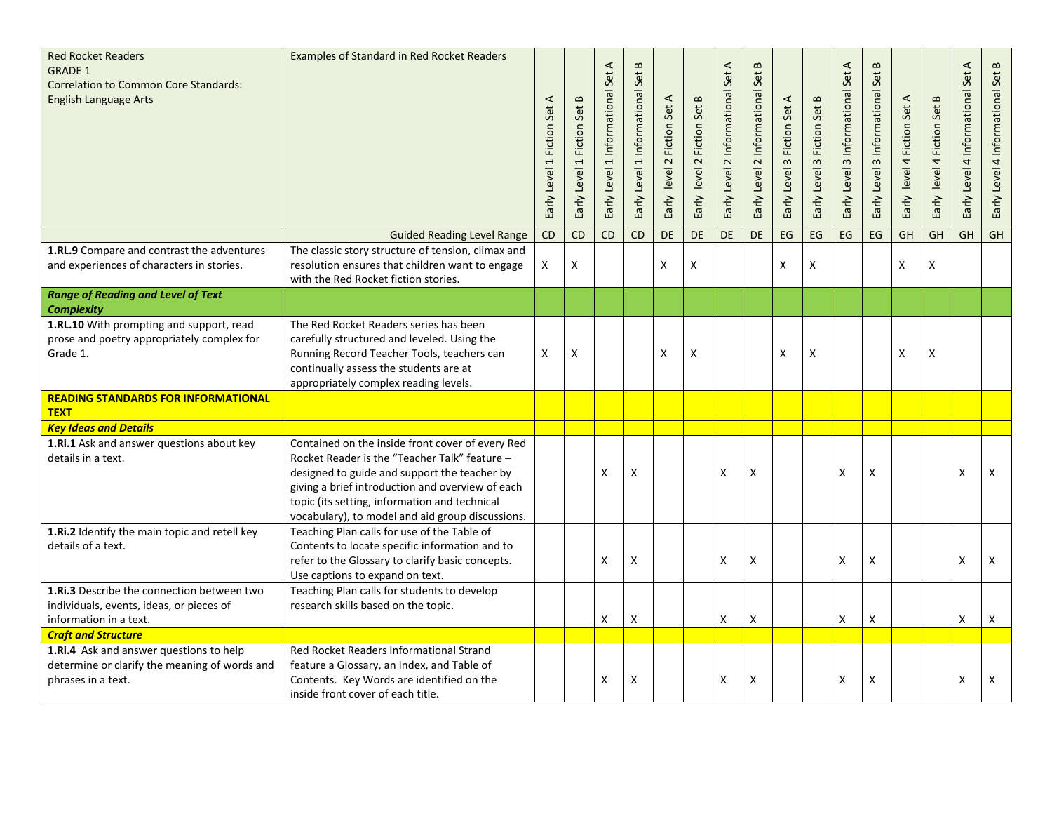| <b>Red Rocket Readers</b><br><b>GRADE 1</b><br><b>Correlation to Common Core Standards:</b><br><b>English Language Arts</b> | Examples of Standard in Red Rocket Readers                                                                                                                                                                                                                                                                 | $\prec$<br>Early Level 1 Fiction Set | Early Level 1 Fiction Set B | $\prec$<br>Set<br>Informational<br>$\overline{\phantom{0}}$<br>Early Level | $\bf{m}$<br>Set<br>Early Level 1 Informational | Early level 2 Fiction Set A | Fiction Set B<br>$\sim$<br>Early level | $\blacktriangleleft$<br>Set.<br>Early Level 2 Informational | $\,$ $\,$<br>Early Level 2 Informational Set | Fiction Set A<br>Early Level 3 | <b>Fiction Set B</b><br>$\omega$<br>Early Level | $\prec$<br>Early Level 3 Informational Set | $\bf{m}$<br>Early Level 3 Informational Set | Early level 4 Fiction Set A | Fiction Set B<br>Early level 4 | $\blacktriangleleft$<br>Early Level 4 Informational Set | Early Level 4 Informational Set B |
|-----------------------------------------------------------------------------------------------------------------------------|------------------------------------------------------------------------------------------------------------------------------------------------------------------------------------------------------------------------------------------------------------------------------------------------------------|--------------------------------------|-----------------------------|----------------------------------------------------------------------------|------------------------------------------------|-----------------------------|----------------------------------------|-------------------------------------------------------------|----------------------------------------------|--------------------------------|-------------------------------------------------|--------------------------------------------|---------------------------------------------|-----------------------------|--------------------------------|---------------------------------------------------------|-----------------------------------|
|                                                                                                                             | <b>Guided Reading Level Range</b>                                                                                                                                                                                                                                                                          | CD                                   | $\overline{CD}$             | <b>CD</b>                                                                  | <b>CD</b>                                      | DE                          | DE                                     | DE                                                          | <b>DE</b>                                    | EG                             | EG                                              | EG                                         | EG                                          | GH                          | GH                             | <b>GH</b>                                               | GH                                |
| 1.RL.9 Compare and contrast the adventures<br>and experiences of characters in stories.                                     | The classic story structure of tension, climax and<br>resolution ensures that children want to engage<br>with the Red Rocket fiction stories.                                                                                                                                                              | X                                    | Χ                           |                                                                            |                                                | X                           | X                                      |                                                             |                                              | X                              | X                                               |                                            |                                             | X                           | X                              |                                                         |                                   |
| <b>Range of Reading and Level of Text</b><br><b>Complexity</b>                                                              |                                                                                                                                                                                                                                                                                                            |                                      |                             |                                                                            |                                                |                             |                                        |                                                             |                                              |                                |                                                 |                                            |                                             |                             |                                |                                                         |                                   |
| 1.RL.10 With prompting and support, read<br>prose and poetry appropriately complex for<br>Grade 1.                          | The Red Rocket Readers series has been<br>carefully structured and leveled. Using the<br>Running Record Teacher Tools, teachers can<br>continually assess the students are at<br>appropriately complex reading levels.                                                                                     | X                                    | Χ                           |                                                                            |                                                | X                           | X                                      |                                                             |                                              | x                              | X                                               |                                            |                                             | X                           | X                              |                                                         |                                   |
| <b>READING STANDARDS FOR INFORMATIONAL</b><br><b>TEXT</b>                                                                   |                                                                                                                                                                                                                                                                                                            |                                      |                             |                                                                            |                                                |                             |                                        |                                                             |                                              |                                |                                                 |                                            |                                             |                             |                                |                                                         |                                   |
| <b>Key Ideas and Details</b>                                                                                                |                                                                                                                                                                                                                                                                                                            |                                      |                             |                                                                            |                                                |                             |                                        |                                                             |                                              |                                |                                                 |                                            |                                             |                             |                                |                                                         |                                   |
| 1.Ri.1 Ask and answer questions about key<br>details in a text.                                                             | Contained on the inside front cover of every Red<br>Rocket Reader is the "Teacher Talk" feature -<br>designed to guide and support the teacher by<br>giving a brief introduction and overview of each<br>topic (its setting, information and technical<br>vocabulary), to model and aid group discussions. |                                      |                             | X                                                                          | x                                              |                             |                                        | X                                                           | X                                            |                                |                                                 | X                                          | X                                           |                             |                                | X                                                       | $\mathsf{x}$                      |
| 1.Ri.2 Identify the main topic and retell key<br>details of a text.                                                         | Teaching Plan calls for use of the Table of<br>Contents to locate specific information and to<br>refer to the Glossary to clarify basic concepts.<br>Use captions to expand on text.                                                                                                                       |                                      |                             | X                                                                          | х                                              |                             |                                        | X                                                           | X                                            |                                |                                                 | X                                          | X                                           |                             |                                | X                                                       | X                                 |
| 1.Ri.3 Describe the connection between two<br>individuals, events, ideas, or pieces of<br>information in a text.            | Teaching Plan calls for students to develop<br>research skills based on the topic.                                                                                                                                                                                                                         |                                      |                             | X                                                                          | X                                              |                             |                                        | X                                                           | X                                            |                                |                                                 | X                                          | X                                           |                             |                                | X                                                       | X                                 |
| <b>Craft and Structure</b>                                                                                                  |                                                                                                                                                                                                                                                                                                            |                                      |                             |                                                                            |                                                |                             |                                        |                                                             |                                              |                                |                                                 |                                            |                                             |                             |                                |                                                         |                                   |
| 1.Ri.4 Ask and answer questions to help<br>determine or clarify the meaning of words and<br>phrases in a text.              | Red Rocket Readers Informational Strand<br>feature a Glossary, an Index, and Table of<br>Contents. Key Words are identified on the<br>inside front cover of each title.                                                                                                                                    |                                      |                             | X                                                                          | х                                              |                             |                                        | X                                                           | X                                            |                                |                                                 | X                                          | X                                           |                             |                                | X                                                       | X                                 |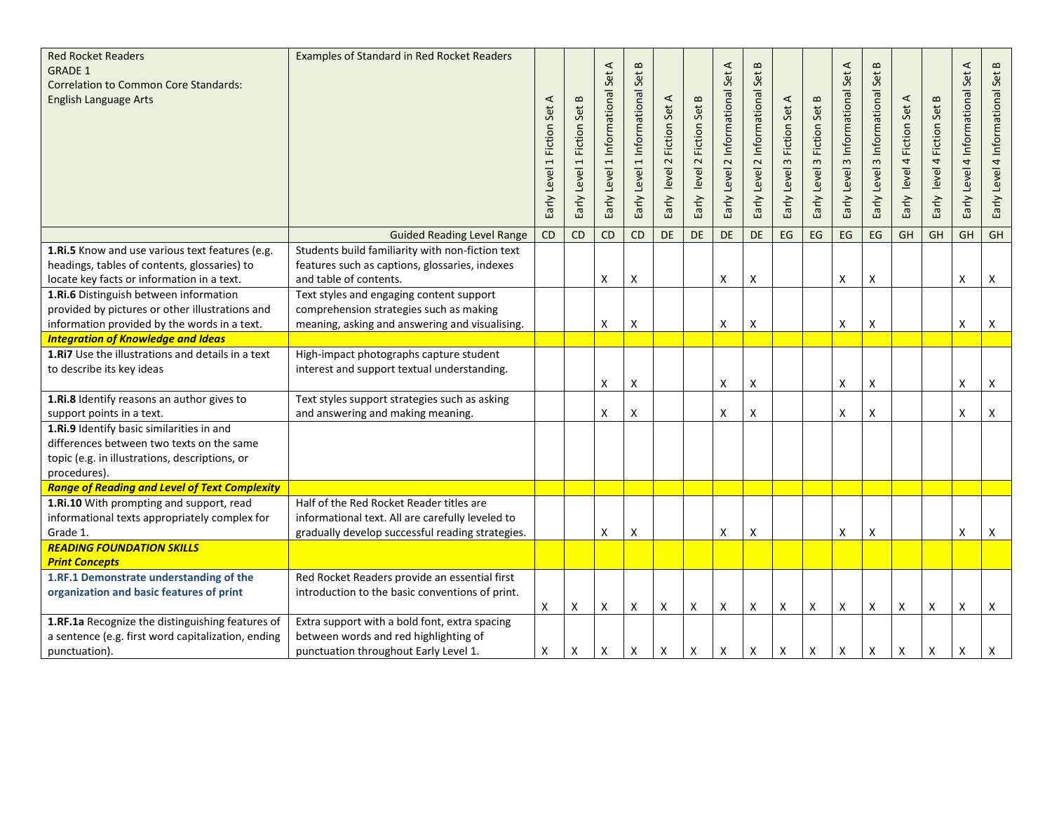| <b>Red Rocket Readers</b><br><b>GRADE 1</b><br><b>Correlation to Common Core Standards:</b><br><b>English Language Arts</b>                              | Examples of Standard in Red Rocket Readers                                                                                                       | Early Level 1 Fiction Set A | Early Level 1 Fiction Set B | $\prec$<br>Level 1 Informational Set<br>Early | $\bf{m}$<br>Set<br>Early Level 1 Informational | Early level 2 Fiction Set A | Early level 2 Fiction Set B | $\blacktriangleleft$<br>Early Level 2 Informational Set | $\bf{m}$<br>Early Level 2 Informational Set | Early Level 3 Fiction Set A | Early Level 3 Fiction Set B | ⋖<br>Early Level 3 Informational Set | $\bf{m}$<br>Early Level 3 Informational Set | Early level 4 Fiction Set A | level 4 Fiction Set B<br>Early | $\prec$<br>Early Level 4 Informational Set | $\bf{m}$<br>Early Level 4 Informational Set |
|----------------------------------------------------------------------------------------------------------------------------------------------------------|--------------------------------------------------------------------------------------------------------------------------------------------------|-----------------------------|-----------------------------|-----------------------------------------------|------------------------------------------------|-----------------------------|-----------------------------|---------------------------------------------------------|---------------------------------------------|-----------------------------|-----------------------------|--------------------------------------|---------------------------------------------|-----------------------------|--------------------------------|--------------------------------------------|---------------------------------------------|
|                                                                                                                                                          | <b>Guided Reading Level Range</b>                                                                                                                | CD                          | CD                          | CD                                            | CD                                             | DE                          | DE                          | DE                                                      | DE                                          | EG                          | EG                          | EG                                   | EG                                          | GH                          | GH                             | GH                                         | GH                                          |
| 1.Ri.5 Know and use various text features (e.g.<br>headings, tables of contents, glossaries) to<br>locate key facts or information in a text.            | Students build familiarity with non-fiction text<br>features such as captions, glossaries, indexes<br>and table of contents.                     |                             |                             | X                                             | x                                              |                             |                             | X                                                       | X                                           |                             |                             | X                                    | X                                           |                             |                                | X                                          | X                                           |
| 1.Ri.6 Distinguish between information<br>provided by pictures or other illustrations and<br>information provided by the words in a text.                | Text styles and engaging content support<br>comprehension strategies such as making<br>meaning, asking and answering and visualising.            |                             |                             | X                                             | X                                              |                             |                             | X                                                       | X                                           |                             |                             | X                                    | X                                           |                             |                                | X                                          | X                                           |
| <b>Integration of Knowledge and Ideas</b>                                                                                                                |                                                                                                                                                  |                             |                             |                                               |                                                |                             |                             |                                                         |                                             |                             |                             |                                      |                                             |                             |                                |                                            |                                             |
| 1.Ri7 Use the illustrations and details in a text<br>to describe its key ideas                                                                           | High-impact photographs capture student<br>interest and support textual understanding.                                                           |                             |                             | X                                             | X                                              |                             |                             | Χ                                                       | X                                           |                             |                             | X                                    | x                                           |                             |                                | X                                          | X                                           |
| 1.Ri.8 Identify reasons an author gives to<br>support points in a text.                                                                                  | Text styles support strategies such as asking<br>and answering and making meaning.                                                               |                             |                             | $\pmb{\mathsf{X}}$                            | X                                              |                             |                             | X                                                       | $\pmb{\mathsf{X}}$                          |                             |                             | X                                    | X                                           |                             |                                | X                                          | X                                           |
| 1.Ri.9 Identify basic similarities in and<br>differences between two texts on the same<br>topic (e.g. in illustrations, descriptions, or<br>procedures). |                                                                                                                                                  |                             |                             |                                               |                                                |                             |                             |                                                         |                                             |                             |                             |                                      |                                             |                             |                                |                                            |                                             |
| <b>Range of Reading and Level of Text Complexity</b>                                                                                                     |                                                                                                                                                  |                             |                             |                                               |                                                |                             |                             |                                                         |                                             |                             |                             |                                      |                                             |                             |                                |                                            |                                             |
| 1.Ri.10 With prompting and support, read<br>informational texts appropriately complex for<br>Grade 1.                                                    | Half of the Red Rocket Reader titles are<br>informational text. All are carefully leveled to<br>gradually develop successful reading strategies. |                             |                             | Χ                                             | x                                              |                             |                             | X                                                       | X                                           |                             |                             | х                                    | X                                           |                             |                                | X                                          | X                                           |
| <b>READING FOUNDATION SKILLS</b>                                                                                                                         |                                                                                                                                                  |                             |                             |                                               |                                                |                             |                             |                                                         |                                             |                             |                             |                                      |                                             |                             |                                |                                            |                                             |
| <b>Print Concepts</b>                                                                                                                                    |                                                                                                                                                  |                             |                             |                                               |                                                |                             |                             |                                                         |                                             |                             |                             |                                      |                                             |                             |                                |                                            |                                             |
| 1.RF.1 Demonstrate understanding of the<br>organization and basic features of print                                                                      | Red Rocket Readers provide an essential first<br>introduction to the basic conventions of print.                                                 | X                           | Χ                           | X                                             | x                                              | X                           | Χ                           | X                                                       | X                                           | X                           | Χ                           | X                                    | X                                           | Χ                           | X                              | X                                          | X                                           |
| 1.RF.1a Recognize the distinguishing features of<br>a sentence (e.g. first word capitalization, ending<br>punctuation).                                  | Extra support with a bold font, extra spacing<br>between words and red highlighting of<br>punctuation throughout Early Level 1.                  | X                           | Χ                           | $\boldsymbol{\mathsf{X}}$                     | X                                              | X                           | Χ                           | X                                                       | X                                           | X                           | $\boldsymbol{\mathsf{X}}$   | X                                    | X                                           | X                           | X                              | X                                          | X                                           |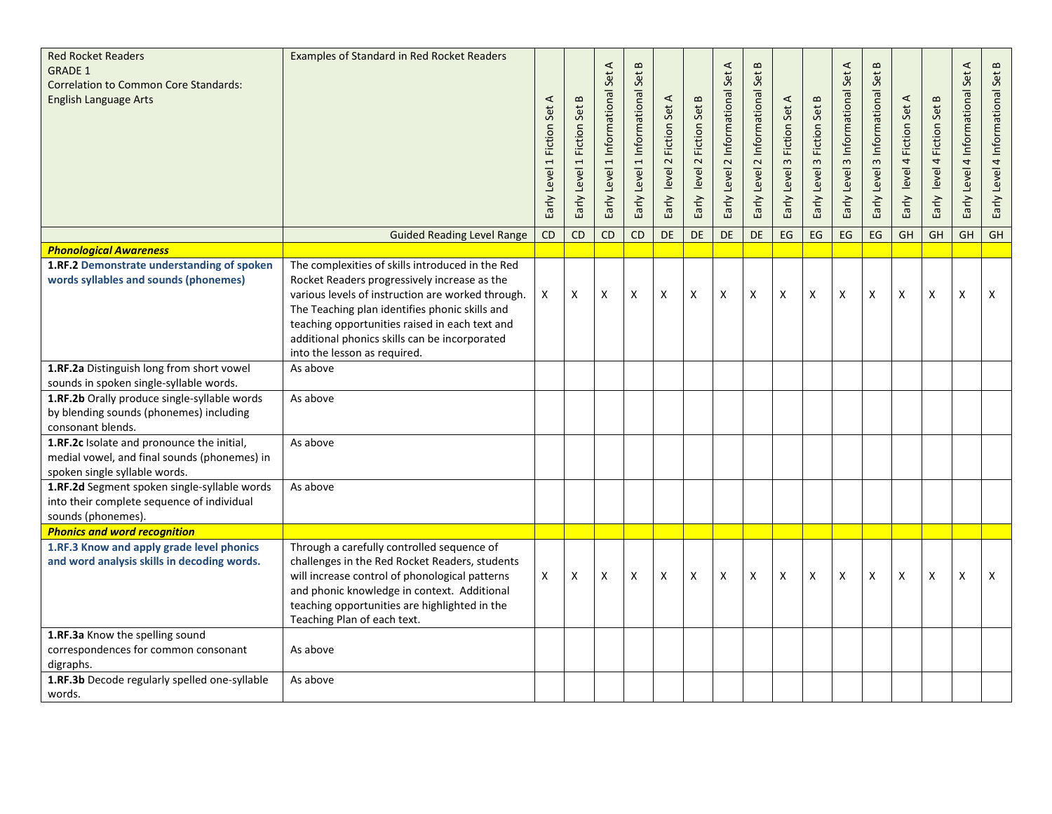| <b>Red Rocket Readers</b><br><b>GRADE 1</b><br><b>Correlation to Common Core Standards:</b><br><b>English Language Arts</b>                                                                                                                           | Examples of Standard in Red Rocket Readers                                                                                                                                                                                                                                                                                                 | ⋖<br>Early Level 1 Fiction Set | Early Level 1 Fiction Set B | ⋖<br>Set.<br>Early Level 1 Informational | $\bf{m}$<br>Set<br>Early Level 1 Informational | Early level 2 Fiction Set A | Early level 2 Fiction Set B | $\blacktriangleleft$<br>Set.<br>Early Level 2 Informational | $\,$ $\,$<br>Early Level 2 Informational Set | Early Level 3 Fiction Set A | Fiction Set B<br>Early Level 3 | $\prec$<br>Early Level 3 Informational Set | $\bf{m}$<br>Early Level 3 Informational Set | Early level 4 Fiction Set A | Early level 4 Fiction Set B | $\prec$<br>Early Level 4 Informational Set | Early Level 4 Informational Set B |
|-------------------------------------------------------------------------------------------------------------------------------------------------------------------------------------------------------------------------------------------------------|--------------------------------------------------------------------------------------------------------------------------------------------------------------------------------------------------------------------------------------------------------------------------------------------------------------------------------------------|--------------------------------|-----------------------------|------------------------------------------|------------------------------------------------|-----------------------------|-----------------------------|-------------------------------------------------------------|----------------------------------------------|-----------------------------|--------------------------------|--------------------------------------------|---------------------------------------------|-----------------------------|-----------------------------|--------------------------------------------|-----------------------------------|
|                                                                                                                                                                                                                                                       | <b>Guided Reading Level Range</b>                                                                                                                                                                                                                                                                                                          | <b>CD</b>                      | CD                          | <b>CD</b>                                | CD                                             | DE                          | <b>DE</b>                   | <b>DE</b>                                                   | <b>DE</b>                                    | EG                          | EG                             | <b>EG</b>                                  | $\mathsf{E}\mathsf{G}$                      | GH                          | <b>GH</b>                   | <b>GH</b>                                  | GH                                |
| <b>Phonological Awareness</b><br>1.RF.2 Demonstrate understanding of spoken<br>words syllables and sounds (phonemes)                                                                                                                                  | The complexities of skills introduced in the Red<br>Rocket Readers progressively increase as the<br>various levels of instruction are worked through.<br>The Teaching plan identifies phonic skills and<br>teaching opportunities raised in each text and<br>additional phonics skills can be incorporated<br>into the lesson as required. | X                              | X                           | $\boldsymbol{\mathsf{X}}$                | X                                              | X                           | X                           | X                                                           | X                                            | X                           | X                              | X                                          | X                                           | X                           | X                           | X                                          | X                                 |
| 1.RF.2a Distinguish long from short vowel                                                                                                                                                                                                             | As above                                                                                                                                                                                                                                                                                                                                   |                                |                             |                                          |                                                |                             |                             |                                                             |                                              |                             |                                |                                            |                                             |                             |                             |                                            |                                   |
| sounds in spoken single-syllable words.<br>1.RF.2b Orally produce single-syllable words<br>by blending sounds (phonemes) including<br>consonant blends.<br>1.RF.2c Isolate and pronounce the initial,<br>medial vowel, and final sounds (phonemes) in | As above<br>As above                                                                                                                                                                                                                                                                                                                       |                                |                             |                                          |                                                |                             |                             |                                                             |                                              |                             |                                |                                            |                                             |                             |                             |                                            |                                   |
| spoken single syllable words.                                                                                                                                                                                                                         |                                                                                                                                                                                                                                                                                                                                            |                                |                             |                                          |                                                |                             |                             |                                                             |                                              |                             |                                |                                            |                                             |                             |                             |                                            |                                   |
| 1.RF.2d Segment spoken single-syllable words<br>into their complete sequence of individual<br>sounds (phonemes).                                                                                                                                      | As above                                                                                                                                                                                                                                                                                                                                   |                                |                             |                                          |                                                |                             |                             |                                                             |                                              |                             |                                |                                            |                                             |                             |                             |                                            |                                   |
| <b>Phonics and word recognition</b>                                                                                                                                                                                                                   |                                                                                                                                                                                                                                                                                                                                            |                                |                             |                                          |                                                |                             |                             |                                                             |                                              |                             |                                |                                            |                                             |                             |                             |                                            |                                   |
| 1.RF.3 Know and apply grade level phonics<br>and word analysis skills in decoding words.                                                                                                                                                              | Through a carefully controlled sequence of<br>challenges in the Red Rocket Readers, students<br>will increase control of phonological patterns<br>and phonic knowledge in context. Additional<br>teaching opportunities are highlighted in the<br>Teaching Plan of each text.                                                              | X                              | Χ                           | X                                        | x                                              | X                           | X                           | X                                                           | X                                            | X                           | X                              | X                                          | X                                           | X                           | X                           | X                                          | X                                 |
| 1.RF.3a Know the spelling sound<br>correspondences for common consonant<br>digraphs.                                                                                                                                                                  | As above                                                                                                                                                                                                                                                                                                                                   |                                |                             |                                          |                                                |                             |                             |                                                             |                                              |                             |                                |                                            |                                             |                             |                             |                                            |                                   |
| 1.RF.3b Decode regularly spelled one-syllable<br>words.                                                                                                                                                                                               | As above                                                                                                                                                                                                                                                                                                                                   |                                |                             |                                          |                                                |                             |                             |                                                             |                                              |                             |                                |                                            |                                             |                             |                             |                                            |                                   |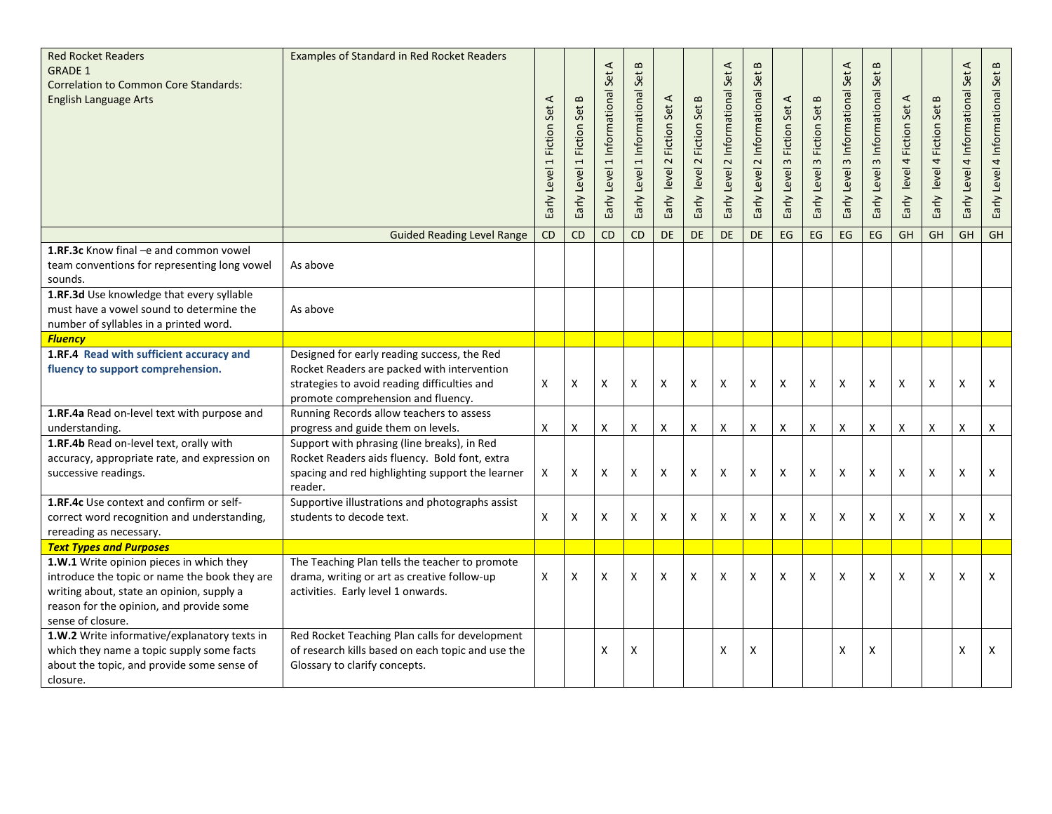| <b>Red Rocket Readers</b><br><b>GRADE 1</b><br><b>Correlation to Common Core Standards:</b><br><b>English Language Arts</b>                                                                             | Examples of Standard in Red Rocket Readers                                                                                                                                       | 1 Fiction Set A<br>Early Level | Early Level 1 Fiction Set B | ⋖<br>1 Informational Set<br>Early Level | $\bf{m}$<br>Early Level 1 Informational Set | Early level 2 Fiction Set A | Early level 2 Fiction Set B | $\prec$<br>2 Informational Set<br>Level<br>Early | $\bf{m}$<br>Early Level 2 Informational Set | Early Level 3 Fiction Set A | $\mathbf{m}$<br><b>Fiction Set</b><br>$\omega$<br>Early Level | $\blacktriangleleft$<br>3 Informational Set<br>Early Level | $\,$ $\,$<br>Early Level 3 Informational Set | 4 Fiction Set A<br>Early level | Set B<br>Fiction !<br>level 41<br>Early | $\prec$<br>Early Level 4 Informational Set | $\,$ $\,$<br>Early Level 4 Informational Set |
|---------------------------------------------------------------------------------------------------------------------------------------------------------------------------------------------------------|----------------------------------------------------------------------------------------------------------------------------------------------------------------------------------|--------------------------------|-----------------------------|-----------------------------------------|---------------------------------------------|-----------------------------|-----------------------------|--------------------------------------------------|---------------------------------------------|-----------------------------|---------------------------------------------------------------|------------------------------------------------------------|----------------------------------------------|--------------------------------|-----------------------------------------|--------------------------------------------|----------------------------------------------|
|                                                                                                                                                                                                         | <b>Guided Reading Level Range</b>                                                                                                                                                | CD                             | $\overline{CD}$             | <b>CD</b>                               | <b>CD</b>                                   | <b>DE</b>                   | <b>DE</b>                   | DE                                               | DE                                          | EG                          | EG                                                            | EG                                                         | EG                                           | GH                             | GH                                      | GH                                         | GH                                           |
| 1.RF.3c Know final -e and common vowel<br>team conventions for representing long vowel<br>sounds.<br>1.RF.3d Use knowledge that every syllable                                                          | As above                                                                                                                                                                         |                                |                             |                                         |                                             |                             |                             |                                                  |                                             |                             |                                                               |                                                            |                                              |                                |                                         |                                            |                                              |
| must have a vowel sound to determine the<br>number of syllables in a printed word.                                                                                                                      | As above                                                                                                                                                                         |                                |                             |                                         |                                             |                             |                             |                                                  |                                             |                             |                                                               |                                                            |                                              |                                |                                         |                                            |                                              |
| <b>Fluency</b>                                                                                                                                                                                          |                                                                                                                                                                                  |                                |                             |                                         |                                             |                             |                             |                                                  |                                             |                             |                                                               |                                                            |                                              |                                |                                         |                                            |                                              |
| 1.RF.4 Read with sufficient accuracy and<br>fluency to support comprehension.                                                                                                                           | Designed for early reading success, the Red<br>Rocket Readers are packed with intervention<br>strategies to avoid reading difficulties and<br>promote comprehension and fluency. | Χ                              | Χ                           | X                                       | x                                           | X                           | X                           | X                                                | X                                           | X                           | X                                                             | X                                                          | X                                            | Χ                              | X                                       | X                                          | Χ                                            |
| 1.RF.4a Read on-level text with purpose and<br>understanding.                                                                                                                                           | Running Records allow teachers to assess<br>progress and guide them on levels.                                                                                                   | Χ                              | Χ                           | $\boldsymbol{\mathsf{X}}$               | Χ                                           | X                           | X                           | X                                                | X                                           | X                           | X                                                             | X                                                          | X                                            | X                              | X                                       | X                                          | X                                            |
| 1.RF.4b Read on-level text, orally with<br>accuracy, appropriate rate, and expression on<br>successive readings.                                                                                        | Support with phrasing (line breaks), in Red<br>Rocket Readers aids fluency. Bold font, extra<br>spacing and red highlighting support the learner<br>reader.                      | X                              | X                           | X                                       | X                                           | X                           | $\pmb{\mathsf{X}}$          | X                                                | X                                           | X                           | X                                                             | X                                                          | Χ                                            | X                              | X                                       | X                                          | X                                            |
| <b>1.RF.4c</b> Use context and confirm or self-<br>correct word recognition and understanding,<br>rereading as necessary.                                                                               | Supportive illustrations and photographs assist<br>students to decode text.                                                                                                      | Χ                              | Χ                           | X                                       | x                                           | X                           | X                           | X                                                | $\pmb{\times}$                              | Χ                           | X                                                             | X                                                          | X                                            | X                              | X                                       | X                                          | $\mathsf{x}$                                 |
| <b>Text Types and Purposes</b>                                                                                                                                                                          |                                                                                                                                                                                  |                                |                             |                                         |                                             |                             |                             |                                                  |                                             |                             |                                                               |                                                            |                                              |                                |                                         |                                            |                                              |
| 1.W.1 Write opinion pieces in which they<br>introduce the topic or name the book they are<br>writing about, state an opinion, supply a<br>reason for the opinion, and provide some<br>sense of closure. | The Teaching Plan tells the teacher to promote<br>drama, writing or art as creative follow-up<br>activities. Early level 1 onwards.                                              | X                              | X                           | $\boldsymbol{\mathsf{X}}$               | X                                           | X                           | X                           | X                                                | X                                           | X                           | X                                                             | X                                                          | X                                            | X                              | X                                       | X                                          | X                                            |
| 1.W.2 Write informative/explanatory texts in<br>which they name a topic supply some facts<br>about the topic, and provide some sense of<br>closure.                                                     | Red Rocket Teaching Plan calls for development<br>of research kills based on each topic and use the<br>Glossary to clarify concepts.                                             |                                |                             | X                                       | х                                           |                             |                             | X                                                | X                                           |                             |                                                               | X                                                          | Χ                                            |                                |                                         | $\boldsymbol{\mathsf{X}}$                  | X                                            |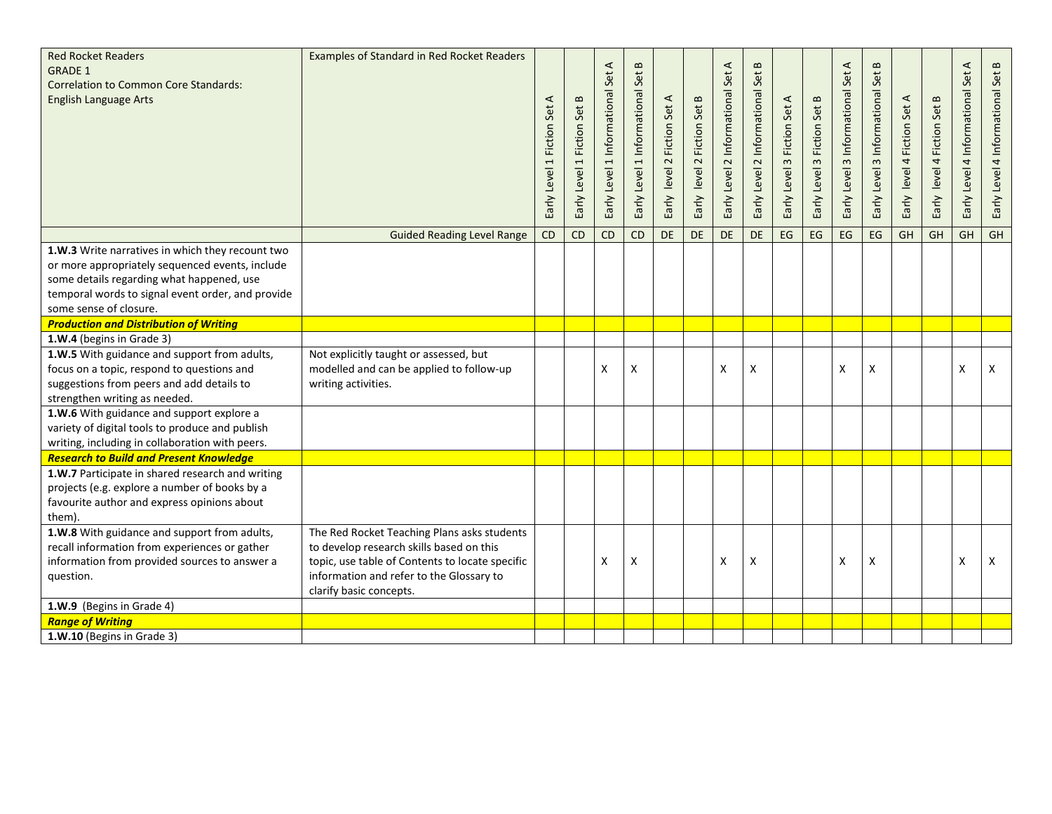| <b>Red Rocket Readers</b><br><b>GRADE 1</b><br><b>Correlation to Common Core Standards:</b><br><b>English Language Arts</b>                                                                                                     | Examples of Standard in Red Rocket Readers                                                                                                                                                                        | Fiction Set A<br>$\overline{a}$<br>Early Level | Early Level 1 Fiction Set B | ⋖<br>Set<br>Informational<br>$\overline{ }$<br>Early Level | $\mathbf{u}$<br>Set<br>1 Informational<br>Early Level | Early level 2 Fiction Set A | Fiction Set B<br>$\sim$<br>Early level | $\triangleleft$<br>Set<br>Informational<br>$\sim$<br>Early Level | $\bf{m}$<br>Early Level 2 Informational Set | Early Level 3 Fiction Set A | Fiction Set B<br>$\omega$<br>Early Level | 3 Informational Set A<br>Early Level | $\bf{m}$<br>3 Informational Set<br>Early Level | Fiction Set A<br>$\overline{a}$<br>Early level | Fiction Set B<br>$\blacktriangleleft$<br>Early level | ⋖<br>Early Level 4 Informational Set | Early Level 4 Informational Set B |
|---------------------------------------------------------------------------------------------------------------------------------------------------------------------------------------------------------------------------------|-------------------------------------------------------------------------------------------------------------------------------------------------------------------------------------------------------------------|------------------------------------------------|-----------------------------|------------------------------------------------------------|-------------------------------------------------------|-----------------------------|----------------------------------------|------------------------------------------------------------------|---------------------------------------------|-----------------------------|------------------------------------------|--------------------------------------|------------------------------------------------|------------------------------------------------|------------------------------------------------------|--------------------------------------|-----------------------------------|
|                                                                                                                                                                                                                                 | <b>Guided Reading Level Range</b>                                                                                                                                                                                 | CD                                             | CD                          | <b>CD</b>                                                  | <b>CD</b>                                             | DE                          | DE                                     | <b>DE</b>                                                        | <b>DE</b>                                   | EG                          | EG                                       | EG                                   | EG                                             | GH                                             | GH                                                   | GH                                   | GH                                |
| 1.W.3 Write narratives in which they recount two<br>or more appropriately sequenced events, include<br>some details regarding what happened, use<br>temporal words to signal event order, and provide<br>some sense of closure. |                                                                                                                                                                                                                   |                                                |                             |                                                            |                                                       |                             |                                        |                                                                  |                                             |                             |                                          |                                      |                                                |                                                |                                                      |                                      |                                   |
| <b>Production and Distribution of Writing</b>                                                                                                                                                                                   |                                                                                                                                                                                                                   |                                                |                             |                                                            |                                                       |                             |                                        |                                                                  |                                             |                             |                                          |                                      |                                                |                                                |                                                      |                                      |                                   |
| 1.W.4 (begins in Grade 3)                                                                                                                                                                                                       |                                                                                                                                                                                                                   |                                                |                             |                                                            |                                                       |                             |                                        |                                                                  |                                             |                             |                                          |                                      |                                                |                                                |                                                      |                                      |                                   |
| 1.W.5 With guidance and support from adults,<br>focus on a topic, respond to questions and<br>suggestions from peers and add details to<br>strengthen writing as needed.                                                        | Not explicitly taught or assessed, but<br>modelled and can be applied to follow-up<br>writing activities.                                                                                                         |                                                |                             | X                                                          | X                                                     |                             |                                        | X                                                                | X                                           |                             |                                          | X                                    | X                                              |                                                |                                                      | x                                    | X                                 |
| 1.W.6 With guidance and support explore a<br>variety of digital tools to produce and publish<br>writing, including in collaboration with peers.                                                                                 |                                                                                                                                                                                                                   |                                                |                             |                                                            |                                                       |                             |                                        |                                                                  |                                             |                             |                                          |                                      |                                                |                                                |                                                      |                                      |                                   |
| <b>Research to Build and Present Knowledge</b>                                                                                                                                                                                  |                                                                                                                                                                                                                   |                                                |                             |                                                            |                                                       |                             |                                        |                                                                  |                                             |                             |                                          |                                      |                                                |                                                |                                                      |                                      |                                   |
| 1.W.7 Participate in shared research and writing<br>projects (e.g. explore a number of books by a<br>favourite author and express opinions about<br>them).                                                                      |                                                                                                                                                                                                                   |                                                |                             |                                                            |                                                       |                             |                                        |                                                                  |                                             |                             |                                          |                                      |                                                |                                                |                                                      |                                      |                                   |
| 1.W.8 With guidance and support from adults,<br>recall information from experiences or gather<br>information from provided sources to answer a<br>question.                                                                     | The Red Rocket Teaching Plans asks students<br>to develop research skills based on this<br>topic, use table of Contents to locate specific<br>information and refer to the Glossary to<br>clarify basic concepts. |                                                |                             | X                                                          | x                                                     |                             |                                        | X                                                                | X                                           |                             |                                          | Χ                                    | X                                              |                                                |                                                      | X                                    | X                                 |
| 1.W.9 (Begins in Grade 4)                                                                                                                                                                                                       |                                                                                                                                                                                                                   |                                                |                             |                                                            |                                                       |                             |                                        |                                                                  |                                             |                             |                                          |                                      |                                                |                                                |                                                      |                                      |                                   |
| <b>Range of Writing</b>                                                                                                                                                                                                         |                                                                                                                                                                                                                   |                                                |                             |                                                            |                                                       |                             |                                        |                                                                  |                                             |                             |                                          |                                      |                                                |                                                |                                                      |                                      |                                   |
| 1.W.10 (Begins in Grade 3)                                                                                                                                                                                                      |                                                                                                                                                                                                                   |                                                |                             |                                                            |                                                       |                             |                                        |                                                                  |                                             |                             |                                          |                                      |                                                |                                                |                                                      |                                      |                                   |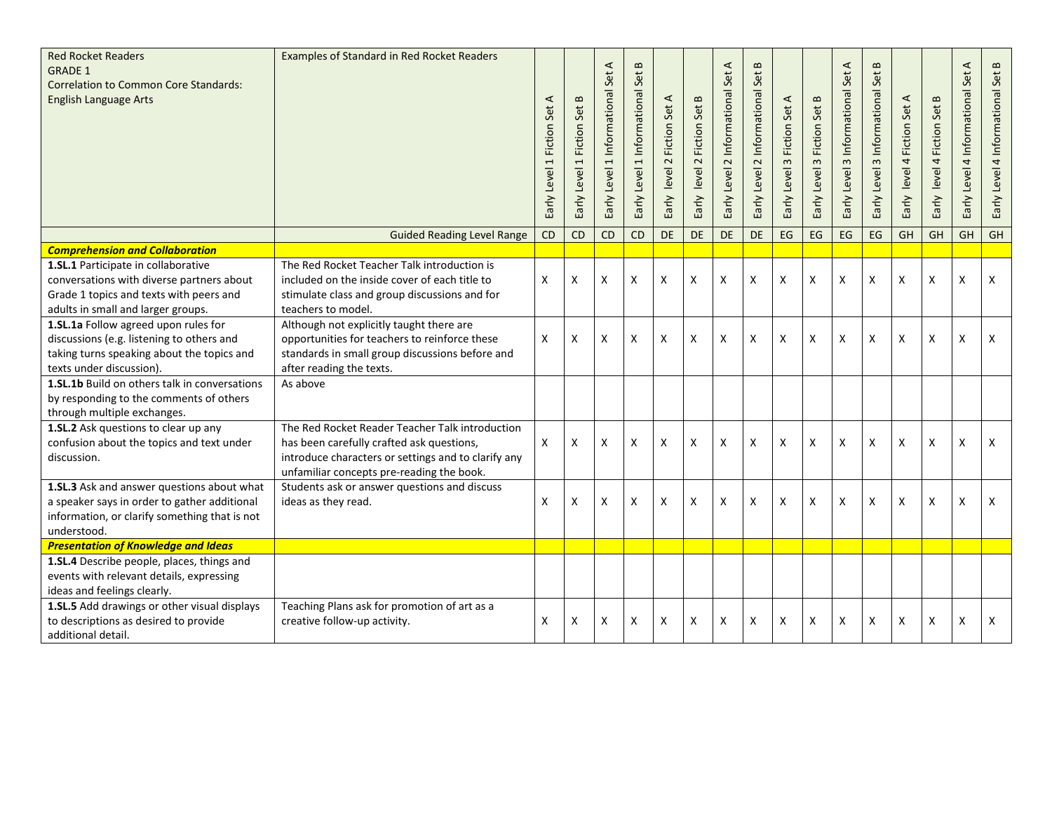| <b>Red Rocket Readers</b><br><b>GRADE 1</b><br><b>Correlation to Common Core Standards:</b><br><b>English Language Arts</b>                                       | <b>Examples of Standard in Red Rocket Readers</b>                                                                                                                                                | ⋖<br>1 Fiction Set<br>Early Level | Early Level 1 Fiction Set B | $\prec$<br>Set.<br>Informational<br>$\overline{a}$<br>Level:<br>Early | $\mathbf m$<br>Set<br>Early Level 1 Informational | Early level 2 Fiction Set A | 2 Fiction Set B<br>Early level | $\prec$<br>Set.<br>Informational<br>Early Level 2 | $\bf{m}$<br>Early Level 2 Informational Set | Early Level 3 Fiction Set A | <b>Fiction Set B</b><br>$\omega$<br>Early Level | $\blacktriangleleft$<br>Set.<br>3 Informational<br>Early Level | $\infty$<br>Early Level 3 Informational Set | Fiction Set A<br>$\rightarrow$<br>Early level | Fiction Set B<br>$\overline{\mathbf{r}}$<br>Early level | $\blacktriangleleft$<br>Early Level 4 Informational Set | Early Level 4 Informational Set B |
|-------------------------------------------------------------------------------------------------------------------------------------------------------------------|--------------------------------------------------------------------------------------------------------------------------------------------------------------------------------------------------|-----------------------------------|-----------------------------|-----------------------------------------------------------------------|---------------------------------------------------|-----------------------------|--------------------------------|---------------------------------------------------|---------------------------------------------|-----------------------------|-------------------------------------------------|----------------------------------------------------------------|---------------------------------------------|-----------------------------------------------|---------------------------------------------------------|---------------------------------------------------------|-----------------------------------|
|                                                                                                                                                                   | <b>Guided Reading Level Range</b>                                                                                                                                                                | CD                                | CD                          | <b>CD</b>                                                             | CD                                                | DE                          | DE                             | DE                                                | <b>DE</b>                                   | EG                          | EG                                              | EG                                                             | EG                                          | GH                                            | GH                                                      | GH                                                      | GH                                |
| <b>Comprehension and Collaboration</b>                                                                                                                            |                                                                                                                                                                                                  |                                   |                             |                                                                       |                                                   |                             |                                |                                                   |                                             |                             |                                                 |                                                                |                                             |                                               |                                                         |                                                         |                                   |
| 1.SL.1 Participate in collaborative<br>conversations with diverse partners about<br>Grade 1 topics and texts with peers and<br>adults in small and larger groups. | The Red Rocket Teacher Talk introduction is<br>included on the inside cover of each title to<br>stimulate class and group discussions and for<br>teachers to model.                              | X                                 | Χ                           | X                                                                     | x                                                 | X                           | $\pmb{\mathsf{X}}$             | Χ                                                 | X                                           | X                           | X                                               | X                                                              | X                                           | $\pmb{\mathsf{X}}$                            | Χ                                                       | X                                                       | X                                 |
| 1.SL.1a Follow agreed upon rules for<br>discussions (e.g. listening to others and<br>taking turns speaking about the topics and<br>texts under discussion).       | Although not explicitly taught there are<br>opportunities for teachers to reinforce these<br>standards in small group discussions before and<br>after reading the texts.                         | X                                 | Χ                           | X                                                                     | X                                                 | X                           | X                              | X                                                 | X                                           | X                           | X                                               | X                                                              | X                                           | X                                             | Χ                                                       | X                                                       | X                                 |
| 1.SL.1b Build on others talk in conversations<br>by responding to the comments of others<br>through multiple exchanges.                                           | As above                                                                                                                                                                                         |                                   |                             |                                                                       |                                                   |                             |                                |                                                   |                                             |                             |                                                 |                                                                |                                             |                                               |                                                         |                                                         |                                   |
| 1.SL.2 Ask questions to clear up any<br>confusion about the topics and text under<br>discussion.                                                                  | The Red Rocket Reader Teacher Talk introduction<br>has been carefully crafted ask questions,<br>introduce characters or settings and to clarify any<br>unfamiliar concepts pre-reading the book. | X                                 | X                           | X                                                                     | X                                                 | X                           | X                              | X                                                 | X                                           | X                           | X                                               | X                                                              | X                                           | X                                             | X                                                       | X                                                       | X                                 |
| 1.SL.3 Ask and answer questions about what<br>a speaker says in order to gather additional<br>information, or clarify something that is not<br>understood.        | Students ask or answer questions and discuss<br>ideas as they read.                                                                                                                              | X                                 | Χ                           | X                                                                     | X                                                 | X                           | X                              | X                                                 | X                                           | x                           | X                                               | X                                                              | X                                           | X                                             | X                                                       | X                                                       | X                                 |
| <b>Presentation of Knowledge and Ideas</b>                                                                                                                        |                                                                                                                                                                                                  |                                   |                             |                                                                       |                                                   |                             |                                |                                                   |                                             |                             |                                                 |                                                                |                                             |                                               |                                                         |                                                         |                                   |
| 1.SL.4 Describe people, places, things and<br>events with relevant details, expressing<br>ideas and feelings clearly.                                             |                                                                                                                                                                                                  |                                   |                             |                                                                       |                                                   |                             |                                |                                                   |                                             |                             |                                                 |                                                                |                                             |                                               |                                                         |                                                         |                                   |
| 1.SL.5 Add drawings or other visual displays<br>to descriptions as desired to provide<br>additional detail.                                                       | Teaching Plans ask for promotion of art as a<br>creative follow-up activity.                                                                                                                     | Χ                                 | Χ                           | X                                                                     | x                                                 | X                           | X                              | X                                                 | X                                           | x                           | X                                               | X                                                              | X                                           | X                                             | Χ                                                       | X                                                       | X                                 |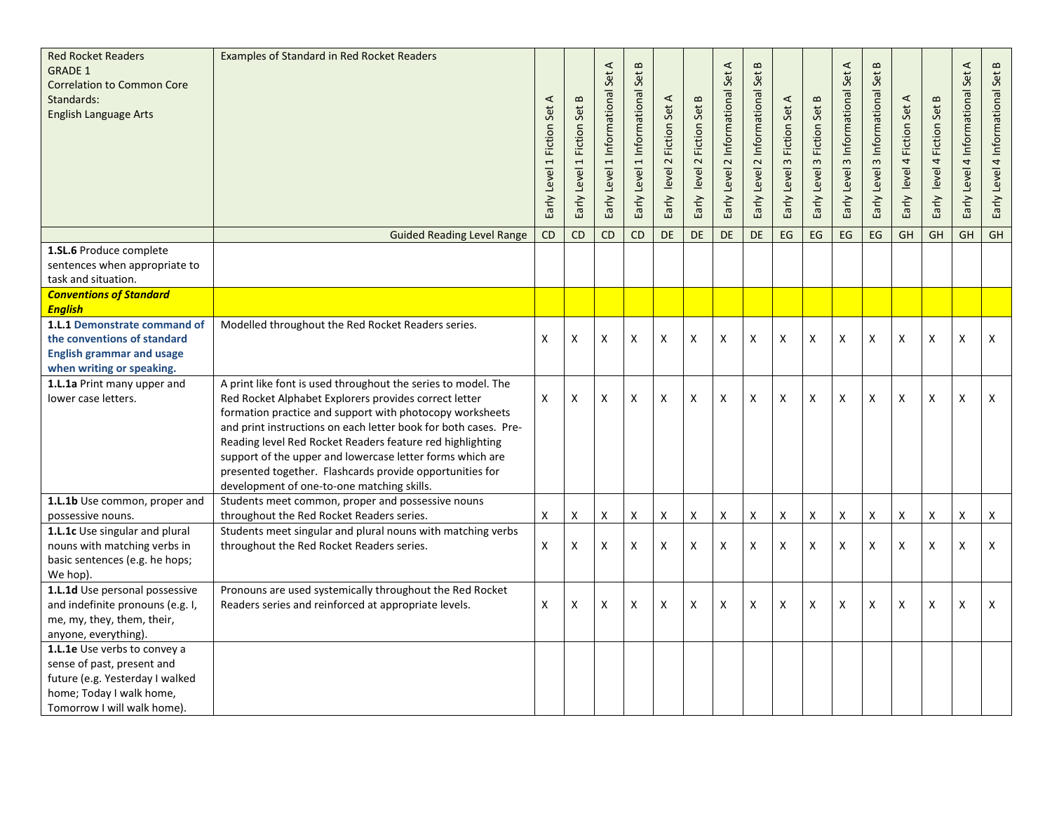| <b>Red Rocket Readers</b><br><b>GRADE 1</b><br><b>Correlation to Common Core</b><br>Standards:<br><b>English Language Arts</b>                           | <b>Examples of Standard in Red Rocket Readers</b>                                                                                                                                                                                                                                                                                                                                                                                                                                         | $\blacktriangleleft$<br>Early Level 1 Fiction Set | 1 Fiction Set B<br>Early Level | $\prec$<br>Informational Set<br>$\overline{ }$<br>Level<br>Early | $\mathbf{m}$<br>Early Level 1 Informational Set | Early level 2 Fiction Set A | 2 Fiction Set B<br>level<br>Early | Set A<br>2 Informational<br>Early Level | $\bf{m}$<br>Early Level 2 Informational Set | 3 Fiction Set A<br>Early Level | <b>Fiction Set B</b><br>$\sim$<br>Early Level | Early Level 3 Informational Set A | $\, \text{m}$<br>Early Level 3 Informational Set | Early level 4 Fiction Set A | Early level 4 Fiction Set B | $\blacktriangleleft$<br>Early Level 4 Informational Set | Early Level 4 Informational Set B |
|----------------------------------------------------------------------------------------------------------------------------------------------------------|-------------------------------------------------------------------------------------------------------------------------------------------------------------------------------------------------------------------------------------------------------------------------------------------------------------------------------------------------------------------------------------------------------------------------------------------------------------------------------------------|---------------------------------------------------|--------------------------------|------------------------------------------------------------------|-------------------------------------------------|-----------------------------|-----------------------------------|-----------------------------------------|---------------------------------------------|--------------------------------|-----------------------------------------------|-----------------------------------|--------------------------------------------------|-----------------------------|-----------------------------|---------------------------------------------------------|-----------------------------------|
|                                                                                                                                                          | <b>Guided Reading Level Range</b>                                                                                                                                                                                                                                                                                                                                                                                                                                                         | CD                                                | <b>CD</b>                      | <b>CD</b>                                                        | CD                                              | <b>DE</b>                   | <b>DE</b>                         | <b>DE</b>                               | <b>DE</b>                                   | EG                             | EG                                            | $\mathsf{E}\mathsf{G}$            | EG                                               | GH                          | <b>GH</b>                   | GH                                                      | GH                                |
| 1.SL.6 Produce complete<br>sentences when appropriate to<br>task and situation.                                                                          |                                                                                                                                                                                                                                                                                                                                                                                                                                                                                           |                                                   |                                |                                                                  |                                                 |                             |                                   |                                         |                                             |                                |                                               |                                   |                                                  |                             |                             |                                                         |                                   |
| <b>Conventions of Standard</b><br><b>English</b>                                                                                                         |                                                                                                                                                                                                                                                                                                                                                                                                                                                                                           |                                                   |                                |                                                                  |                                                 |                             |                                   |                                         |                                             |                                |                                               |                                   |                                                  |                             |                             |                                                         |                                   |
| 1.L.1 Demonstrate command of<br>the conventions of standard<br><b>English grammar and usage</b><br>when writing or speaking.                             | Modelled throughout the Red Rocket Readers series.                                                                                                                                                                                                                                                                                                                                                                                                                                        | X                                                 | X                              | X                                                                | X                                               | X                           | X                                 | X                                       | $\boldsymbol{\mathsf{X}}$                   | X                              | X                                             | X                                 | X                                                | $\boldsymbol{\mathsf{X}}$   | X                           | X                                                       | X                                 |
| 1.L.1a Print many upper and<br>lower case letters.                                                                                                       | A print like font is used throughout the series to model. The<br>Red Rocket Alphabet Explorers provides correct letter<br>formation practice and support with photocopy worksheets<br>and print instructions on each letter book for both cases. Pre-<br>Reading level Red Rocket Readers feature red highlighting<br>support of the upper and lowercase letter forms which are<br>presented together. Flashcards provide opportunities for<br>development of one-to-one matching skills. | $\pmb{\times}$                                    | X                              | X                                                                | Χ                                               | X                           | X                                 | Χ                                       | X                                           | X                              | Χ                                             | X                                 | X                                                | Χ                           | Χ                           | X                                                       | X                                 |
| 1.L.1b Use common, proper and<br>possessive nouns.                                                                                                       | Students meet common, proper and possessive nouns<br>throughout the Red Rocket Readers series.                                                                                                                                                                                                                                                                                                                                                                                            | X                                                 | Χ                              | X                                                                | x                                               | X                           | X                                 | Χ                                       | X                                           | X                              | X                                             | X                                 | X                                                | X                           | Χ                           | X                                                       | X                                 |
| 1.L.1c Use singular and plural<br>nouns with matching verbs in<br>basic sentences (e.g. he hops;<br>We hop).                                             | Students meet singular and plural nouns with matching verbs<br>throughout the Red Rocket Readers series.                                                                                                                                                                                                                                                                                                                                                                                  | X                                                 | Χ                              | X                                                                | X                                               | X                           | X                                 | X                                       | X                                           | X                              | X                                             | X                                 | X                                                | $\boldsymbol{\mathsf{x}}$   | X                           | X                                                       | $\mathsf{x}$                      |
| 1.L.1d Use personal possessive<br>and indefinite pronouns (e.g. I,<br>me, my, they, them, their,<br>anyone, everything).                                 | Pronouns are used systemically throughout the Red Rocket<br>Readers series and reinforced at appropriate levels.                                                                                                                                                                                                                                                                                                                                                                          | X                                                 | Χ                              | X                                                                | Χ                                               | X                           | X                                 | X                                       | X                                           | X                              | X                                             | X                                 | X                                                | Χ                           | Χ                           | X                                                       | X                                 |
| 1.L.1e Use verbs to convey a<br>sense of past, present and<br>future (e.g. Yesterday I walked<br>home; Today I walk home,<br>Tomorrow I will walk home). |                                                                                                                                                                                                                                                                                                                                                                                                                                                                                           |                                                   |                                |                                                                  |                                                 |                             |                                   |                                         |                                             |                                |                                               |                                   |                                                  |                             |                             |                                                         |                                   |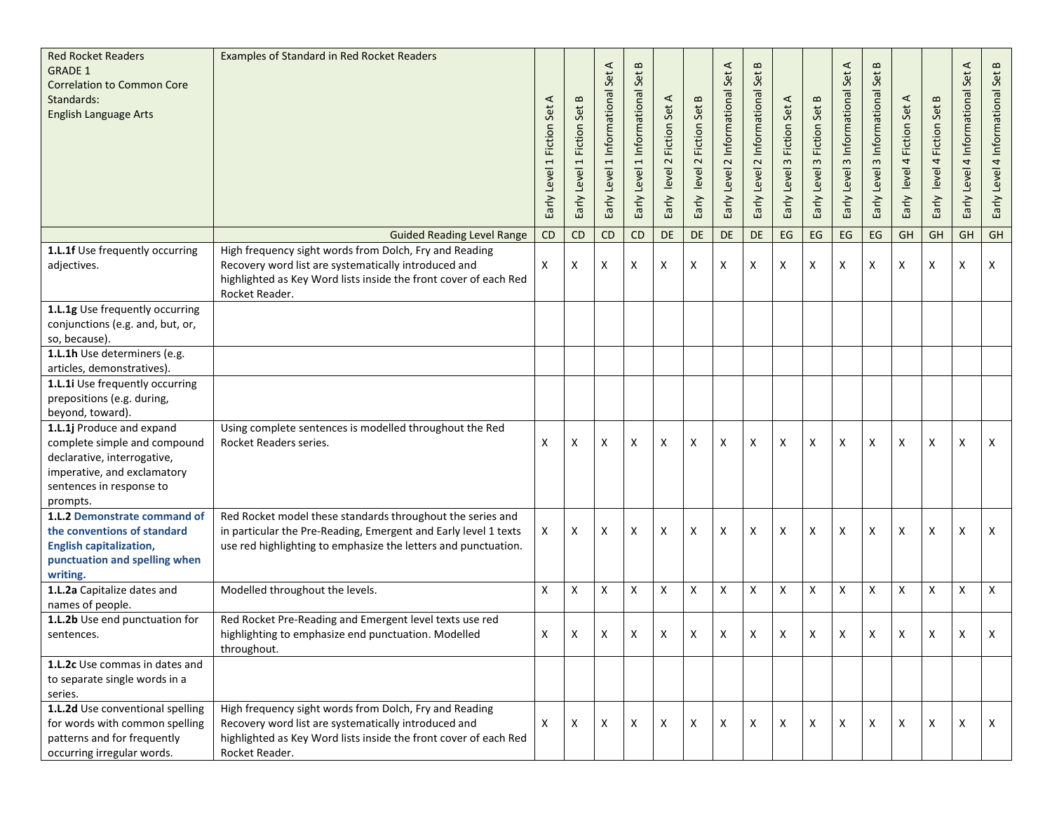| <b>Red Rocket Readers</b><br><b>GRADE 1</b><br><b>Correlation to Common Core</b><br>Standards:<br><b>English Language Arts</b>                                  | <b>Examples of Standard in Red Rocket Readers</b>                                                                                                                                                    | ⋖<br>1 Fiction Set<br>Early Level | Early Level 1 Fiction Set B | ⋖<br>Set<br>1 Informational<br>Early Level | $\bf{m}$<br>Set<br>Early Level 1 Informational | Early level 2 Fiction Set A | $\bf{m}$<br><b>Fiction Set</b><br>$\sim$<br>level<br>Early | $\prec$<br>Set<br>Informational<br>$\sim$<br>Early Level | S<br>Early Level 2 Informational Set | Early Level 3 Fiction Set A | <b>Fiction Set B</b><br>Early Level 3 | $\prec$<br>Early Level 3 Informational Set | $\bf{m}$<br>Early Level 3 Informational Set | 4 Fiction Set A<br>level<br>Early | Early level 4 Fiction Set B | ⋖<br>Early Level 4 Informational Set | Early Level 4 Informational Set B |
|-----------------------------------------------------------------------------------------------------------------------------------------------------------------|------------------------------------------------------------------------------------------------------------------------------------------------------------------------------------------------------|-----------------------------------|-----------------------------|--------------------------------------------|------------------------------------------------|-----------------------------|------------------------------------------------------------|----------------------------------------------------------|--------------------------------------|-----------------------------|---------------------------------------|--------------------------------------------|---------------------------------------------|-----------------------------------|-----------------------------|--------------------------------------|-----------------------------------|
|                                                                                                                                                                 | <b>Guided Reading Level Range</b>                                                                                                                                                                    | CD                                | CD                          | CD                                         | CD                                             | DE                          | DE                                                         | DE                                                       | <b>DE</b>                            | EG                          | EG                                    | EG                                         | EG                                          | GH                                | GH                          | GH                                   | GH                                |
| 1.L.1f Use frequently occurring<br>adjectives.                                                                                                                  | High frequency sight words from Dolch, Fry and Reading<br>Recovery word list are systematically introduced and<br>highlighted as Key Word lists inside the front cover of each Red<br>Rocket Reader. | X                                 | Χ                           | X                                          | Χ                                              | X                           | X                                                          | Х                                                        | X                                    | X                           | X                                     | Χ                                          | X                                           | X                                 | X                           | X                                    | Χ                                 |
| 1.L.1g Use frequently occurring<br>conjunctions (e.g. and, but, or,<br>so, because).                                                                            |                                                                                                                                                                                                      |                                   |                             |                                            |                                                |                             |                                                            |                                                          |                                      |                             |                                       |                                            |                                             |                                   |                             |                                      |                                   |
| 1.L.1h Use determiners (e.g.<br>articles, demonstratives).                                                                                                      |                                                                                                                                                                                                      |                                   |                             |                                            |                                                |                             |                                                            |                                                          |                                      |                             |                                       |                                            |                                             |                                   |                             |                                      |                                   |
| 1.L.1i Use frequently occurring<br>prepositions (e.g. during,<br>beyond, toward).                                                                               |                                                                                                                                                                                                      |                                   |                             |                                            |                                                |                             |                                                            |                                                          |                                      |                             |                                       |                                            |                                             |                                   |                             |                                      |                                   |
| 1.L.1j Produce and expand<br>complete simple and compound<br>declarative, interrogative,<br>imperative, and exclamatory<br>sentences in response to<br>prompts. | Using complete sentences is modelled throughout the Red<br>Rocket Readers series.                                                                                                                    | Χ                                 | Χ                           | X                                          | X                                              | X                           | X                                                          | Х                                                        | X                                    | X                           | X                                     | Χ                                          | X                                           | X                                 | X                           | X                                    | X                                 |
| 1.L.2 Demonstrate command of<br>the conventions of standard<br><b>English capitalization,</b><br>punctuation and spelling when<br>writing.                      | Red Rocket model these standards throughout the series and<br>in particular the Pre-Reading, Emergent and Early level 1 texts<br>use red highlighting to emphasize the letters and punctuation.      | X                                 | Χ                           | X                                          | х                                              | X                           | X                                                          | Х                                                        | X                                    | X                           | х                                     | Χ                                          | X                                           | X                                 | X                           | X                                    | X                                 |
| 1.L.2a Capitalize dates and<br>names of people.                                                                                                                 | Modelled throughout the levels.                                                                                                                                                                      | X                                 | X                           | X                                          | X                                              | X                           | X                                                          | X                                                        | X                                    | X                           | X                                     | X                                          | X                                           | X                                 | $\boldsymbol{\mathsf{X}}$   | X                                    | Χ                                 |
| 1.L.2b Use end punctuation for<br>sentences.                                                                                                                    | Red Rocket Pre-Reading and Emergent level texts use red<br>highlighting to emphasize end punctuation. Modelled<br>throughout.                                                                        | X                                 | Χ                           | X                                          | Χ                                              | X                           | X                                                          | X                                                        | X                                    | X                           | X                                     | Χ                                          | X                                           | X                                 | X                           | x                                    | Χ                                 |
| 1.L.2c Use commas in dates and<br>to separate single words in a<br>series.                                                                                      |                                                                                                                                                                                                      |                                   |                             |                                            |                                                |                             |                                                            |                                                          |                                      |                             |                                       |                                            |                                             |                                   |                             |                                      |                                   |
| 1.L.2d Use conventional spelling<br>for words with common spelling<br>patterns and for frequently<br>occurring irregular words.                                 | High frequency sight words from Dolch, Fry and Reading<br>Recovery word list are systematically introduced and<br>highlighted as Key Word lists inside the front cover of each Red<br>Rocket Reader. | X                                 | X                           | X                                          | X                                              | X                           | X                                                          | Х                                                        | X                                    | X                           | X                                     | X                                          | X                                           | X                                 | X                           | X                                    | X                                 |